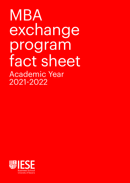MBA exchange program fact sheet Academic Year 2021-2022

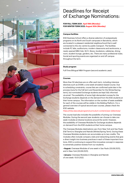

# Deadlines for Receipt of Exchange Nominations:

# **FOR FALL TERM 2021: April 19th (Monday) FOR WINTER TERM 2022: August 30th (Monday)**

# **Campus facilities**

IESE Business School offers a diverse selection of postgraduate programs on its North and South campuses in Barcelona, which are located in a pleasant residential neighbourhood that is well connected to the city centre by public transport. The facilities include PC labs, auditoriums, modern classrooms and workrooms, a newly opened MBA Hub, Wi-Fi, library, bookstore, cafeterias, dining room, student lounge, gardens, etc. There are many profesional clubs. Social and sporting events are organized on and off campus throughout the term.

# **Study program**

Full-Time Bilingual MBA Program (second academic year).

## **Courses**

More than 50 electives are on offer each term, including intensive electives such as EXSIM, a one-week simulation-based course. Due to scheduling constraints, course lists are confirmed quite late in the process (June for the Fall term and November for the Winter/Spring term), but nominated Exchange students are kept fully informed via email. The availability of some high-demanded courses for the Exchange students depends on the demand from the IESE students at their home campus. The information on the number of seats available for each of the courses will be visible in the Bidding Platform. For a general overview of typical second-year courses, please check the IESE website.

# https://mba.iese.edu/program/curriculum-content/year-2/electives/

The course load also includes the possibility of joining our Overseas Modules. During the second year students can choose to take one week modules at diverse locations around the world. However, the availability of Overseas Modules for Exchange students depends on demand from the IESE students at their home campus.

The Overseas Modules destinations vary from New York and Sao Paulo (Fall Term) to Shanghai and Nairobi (Winter/Spring Term). During these Overseas Modules students can accumulate up to two credits. The modules often include company visits and networking events that give a direct insight into business practices in each of these important locations. IESE is continuing to expand this innovative concept in response to extremely positive reviews from our students.

**• August:** Overseas Modules of one week in Sao Paulo (30.08.2021), and in New York (30.08.2021).

**• January:** Overseas Modules in Shanghai and Nairobi of one week: 10.01.2022.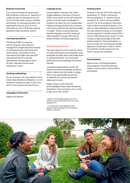#### **Required course load**

The course load taken by second-year IESE students is minimum 5, maximum 6 credits per term (composed of any mix of full- and half credit courses, schedule permitting). For exchange students, this requirement may vary from 4 to 6 to full credits per term if IESE has a special agreement with the partner school.

# **Learning expectations**

The Bilingual MBA is a rigorous full-time program with a general management perspective and emphasis on entrepreneurship and human and ethical values. The student body is international (the MBA class was 83% international with 55 countries represented). Average age on entry: 29 years. Average previous work experience: 5 years.

# **Teaching methodology**

For the most part, the case method, which makes class attendance obligatory. It is not feasible for students to take on part-time work or extra projects during the term.

# **Languages of instruction**

English and Spanish.

## **Language issues**

Fluent English is required. Non-native English speakers must have a minimum TOEFL score of 250 on the CBT scale/100 points on the IBT scale. Knowledge of Spanish is an asset, but not a prerequisite. Visiting exchange students can compose a full course load from the electives taught in English. There is a special Business Spanish language course for exchange visitors (taught in groups with various levels of fluency, including beginners).

# Business Spanish Course\*

The main objective of this optional course is to give participants some linguistic tools, strategies and skills which will enable them to improve both their communicative performance and knowledge of Business Spanish.

Just before beginning the course, the students' previous knowledge is tested in order to determine their levels, to assign them to the appropriate groups and to establish the content and specific objectives for each.

Please contact Carlos Schmidt (CSchmidt@iese.edu), Head of Business Spanish for Communication unit, in order to sign up for the course\*\*.

*\* please note that these classes are not an elective course and therefore have no credit assigned to it.*

*\*\* in Spring Term, the availability of the beginner level will depend on the full time student´s demand.*

## **Grading system**

Students in the top 20% of the class are awarded an "A", those in the bottom 10% are awarded a "C" and the rest are awarded a "B," which may be qualified as a B+ or B- at the professor's discretion. There is also an Incomplete grade. In line with our class attendance requirement for the case method of study, an Incomplete can be assigned if a student misses 20% or more of class sessions per course. In most courses, a high percentage of the final grade is based on class participation. In some courses, the remaining percentage depends on final exams, while in others, the student's overall course work and hand-in reports are evaluated.

## **Documentation**

Before arrival, nominated students will be asked to email their personal details, current resume, and an official photograph.